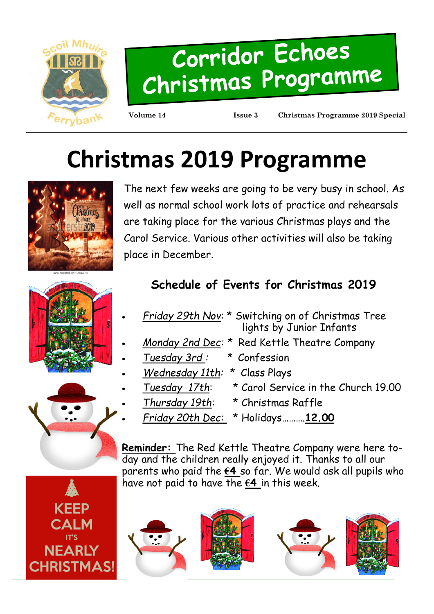

# Corridor Echoes Christmas Programme

**Volume 14 Issue 3 Christmas Programme 2019 Special**

# **Christmas 2019 Programme**







**KEEP** 

**CALM** 

The next few weeks are going to be very busy in school. As well as normal school work lots of practice and rehearsals are taking place for the various Christmas plays and the Carol Service. Various other activities will also be taking place in December.

### **Schedule of Events for Christmas 2019**

- *Friday 29th Nov*: \* Switching on of Christmas Tree lights by Junior Infants
- *Monday 2nd Dec: \** Red Kettle Theatre Company
	- *Tuesday 3rd : \** Confession
- *Wednesday 11th: \** Class Plays
- 
- *Tuesday 17th*: \* Carol Service in the Church 19.00
	- *Thursday 19th:* \* Christmas Raffle
		-
- *Friday 20th Dec:* \* Holidays……….**12.00**

**Reminder:** The Red Kettle Theatre Company were here today and the children really enjoyed it. Thanks to all our parents who paid the **€4** so far. We would ask all pupils who have not paid to have the **€4** in this week.

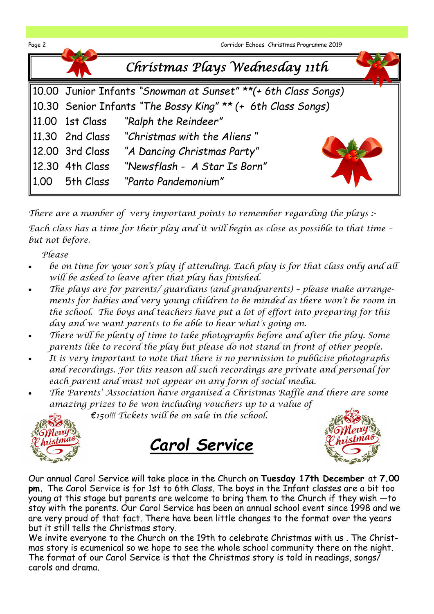

*There are a number of very important points to remember regarding the plays :- Each class has a time for their play and it will begin as close as possible to that time – but not before.* 

*Please* 

- *be on time for your son's play if attending. Each play is for that class only and all will be asked to leave after that play has finished.*
- The plays are for parents/ guardians (and grandparents) please make arrangements for babies and very young children to be minded as there won't be room in *the school. The boys and teachers have put a lot of effort into preparing for this day and we want parents to be able to hear what's going on.*
- *There will be plenty of time to take photographs before and after the play. Some parents like to record the play but please do not stand in front of other people.*
- *It is very important to note that there is no permission to publicise photographs and recordings. For this reason all such recordings are private and personal for each parent and must not appear on any form of social media.*
- *The Parents' Association have organised a Christmas Raffle and there are some amazing prizes to be won including vouchers up to a value of*

€*150!!! Tickets will be on sale in the school.*



*Carol Service*



Our annual Carol Service will take place in the Church on **Tuesday 17th December** at **7.00 pm.** The Carol Service is for 1st to 6th Class. The boys in the Infant classes are a bit too young at this stage but parents are welcome to bring them to the Church if they wish —to stay with the parents. Our Carol Service has been an annual school event since 1998 and we are very proud of that fact. There have been little changes to the format over the years but it still tells the Christmas story.

We invite everyone to the Church on the 19th to celebrate Christmas with us. The Christmas story is ecumenical so we hope to see the whole school community there on the night. The format of our Carol Service is that the Christmas story is told in readings, songs/ carols and drama.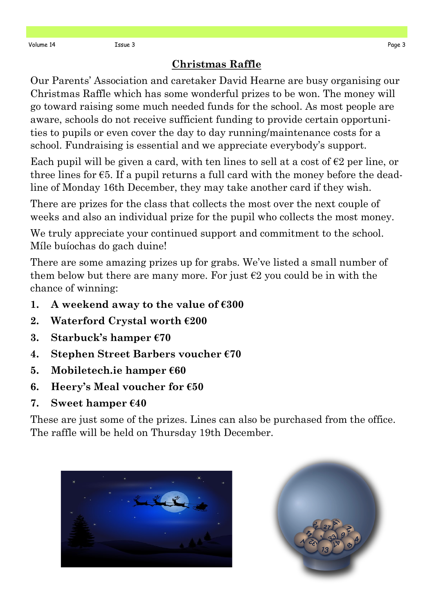#### **Christmas Raffle**

Our Parents' Association and caretaker David Hearne are busy organising our Christmas Raffle which has some wonderful prizes to be won. The money will go toward raising some much needed funds for the school. As most people are aware, schools do not receive sufficient funding to provide certain opportunities to pupils or even cover the day to day running/maintenance costs for a school. Fundraising is essential and we appreciate everybody's support.

Each pupil will be given a card, with ten lines to sell at a cost of  $\epsilon_2$  per line, or three lines for  $\epsilon$ 5. If a pupil returns a full card with the money before the deadline of Monday 16th December, they may take another card if they wish.

There are prizes for the class that collects the most over the next couple of weeks and also an individual prize for the pupil who collects the most money.

We truly appreciate your continued support and commitment to the school. Míle buíochas do gach duine!

There are some amazing prizes up for grabs. We've listed a small number of them below but there are many more. For just  $\epsilon$ 2 you could be in with the chance of winning:

- **1. A** weekend away to the value of  $\epsilon$ 300
- **2. Waterford Crystal worth €200**
- **3. Starbuck's hamper €70**
- **4. Stephen Street Barbers voucher €70**
- **5. Mobiletech.ie hamper €60**
- **6. Heery's Meal voucher for €50**
- **7. Sweet hamper €40**

These are just some of the prizes. Lines can also be purchased from the office. The raffle will be held on Thursday 19th December.